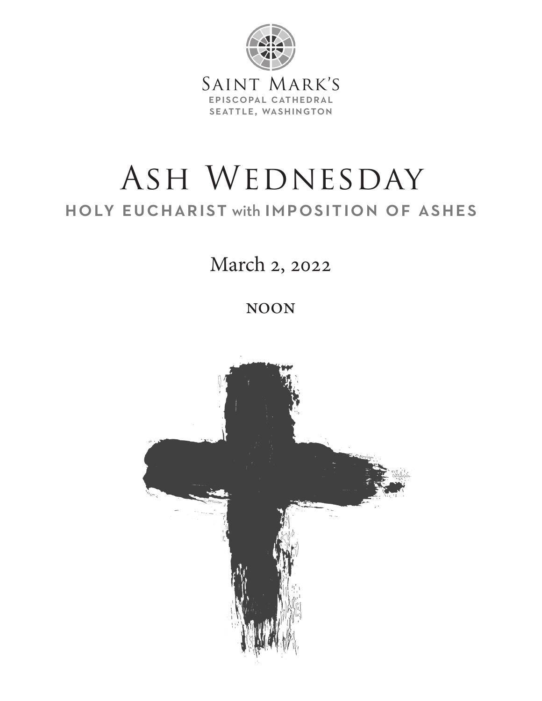

# ASH WEDNESDAY holy eucharist with imposition of ashes

# March 2, 2022

**NOON** 

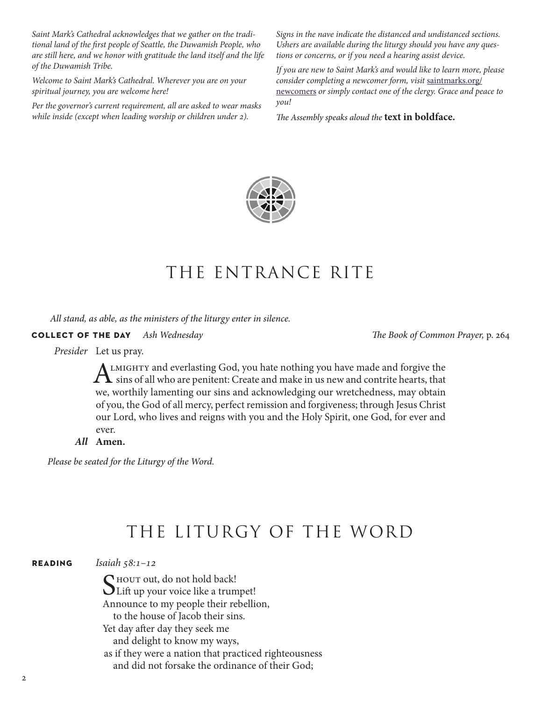*Saint Mark's Cathedral acknowledges that we gather on the traditional land of the first people of Seattle, the Duwamish People, who are still here, and we honor with gratitude the land itself and the life of the Duwamish Tribe.* 

*Welcome to Saint Mark's Cathedral. Wherever you are on your spiritual journey, you are welcome here!*

*Per the governor's current requirement, all are asked to wear masks while inside (except when leading worship or children under 2).*

*Signs in the nave indicate the distanced and undistanced sections. Ushers are available during the liturgy should you have any questions or concerns, or if you need a hearing assist device.*

*If you are new to Saint Mark's and would like to learn more, please consider completing a newcomer form, visit* saintmarks.org/ newcomers *or simply contact one of the clergy. Grace and peace to you!*

*The Assembly speaks aloud the* **text in boldface.**



### THE ENTRANCE RITE

 *All stand, as able, as the ministers of the liturgy enter in silence.*

**collect of the day** *Ash Wednesday The Book of Common Prayer,* p. 264

*Presider* Let us pray.

ALMIGHTY and everlasting God, you hate nothing you have made and forgive the sins of all who are penitent: Create and make in us new and contrite hearts, that we, worthily lamenting our sins and acknowledging our wretchedness, may obtain of you, the God of all mercy, perfect remission and forgiveness; through Jesus Christ our Lord, who lives and reigns with you and the Holy Spirit, one God, for ever and ever.

*All* **Amen.**

*Please be seated for the Liturgy of the Word.*

### THE LITURGY OF THE WORD

**reading** *Isaiah 58:1–12*

SHOUT out, do not hold back!<br>Lift up your voice like a trumpet! Announce to my people their rebellion, to the house of Jacob their sins. Yet day after day they seek me and delight to know my ways, as if they were a nation that practiced righteousness and did not forsake the ordinance of their God;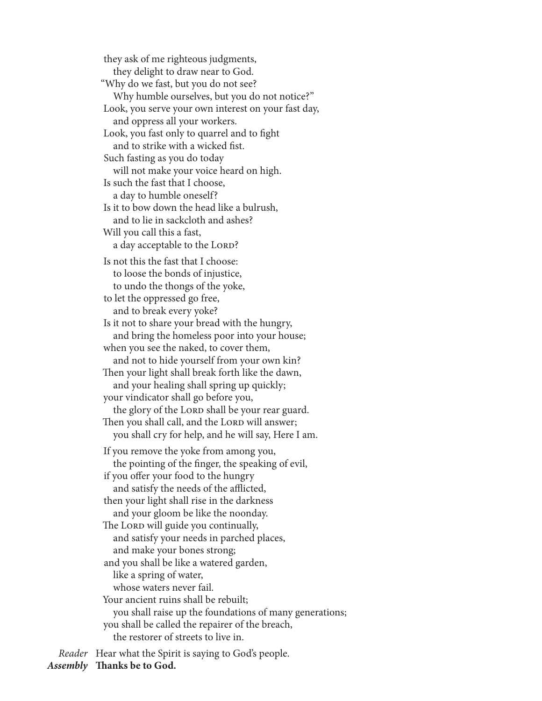they ask of me righteous judgments, they delight to draw near to God. "Why do we fast, but you do not see? Why humble ourselves, but you do not notice?" Look, you serve your own interest on your fast day, and oppress all your workers. Look, you fast only to quarrel and to fight and to strike with a wicked fist. Such fasting as you do today will not make your voice heard on high. Is such the fast that I choose, a day to humble oneself? Is it to bow down the head like a bulrush, and to lie in sackcloth and ashes? Will you call this a fast, a day acceptable to the LORD? Is not this the fast that I choose: to loose the bonds of injustice, to undo the thongs of the yoke, to let the oppressed go free, and to break every yoke? Is it not to share your bread with the hungry, and bring the homeless poor into your house; when you see the naked, to cover them, and not to hide yourself from your own kin? Then your light shall break forth like the dawn, and your healing shall spring up quickly; your vindicator shall go before you, the glory of the LORD shall be your rear guard. Then you shall call, and the LORD will answer; you shall cry for help, and he will say, Here I am. If you remove the yoke from among you, the pointing of the finger, the speaking of evil, if you offer your food to the hungry and satisfy the needs of the afflicted, then your light shall rise in the darkness and your gloom be like the noonday. The LORD will guide you continually, and satisfy your needs in parched places, and make your bones strong; and you shall be like a watered garden, like a spring of water, whose waters never fail. Your ancient ruins shall be rebuilt; you shall raise up the foundations of many generations; you shall be called the repairer of the breach, the restorer of streets to live in.

*Reader* Hear what the Spirit is saying to God's people. *Assembly* **Thanks be to God.**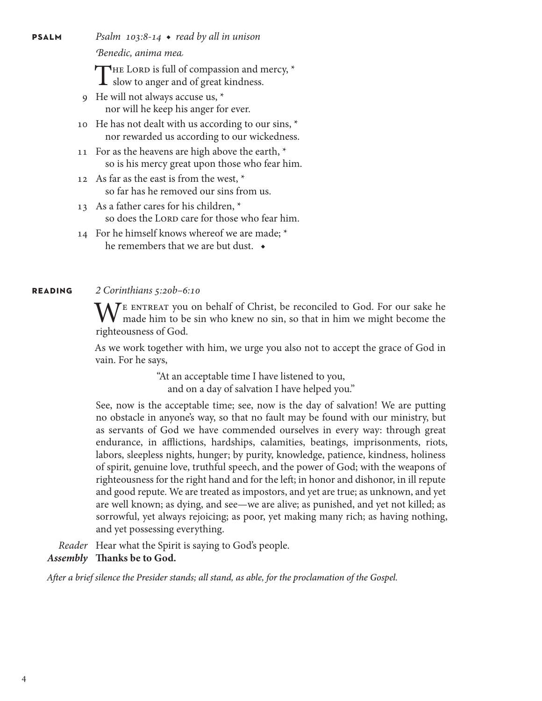**psalm** *Psalm 103:8-14* ◆ *read by all in unison*

*Benedic, anima mea*

THE LORD is full of compassion and mercy,  $*$  slow to anger and of great kindness.

- 9 He will not always accuse us, \* nor will he keep his anger for ever.
- 10 He has not dealt with us according to our sins, \* nor rewarded us according to our wickedness.
- 11 For as the heavens are high above the earth,  $*$ so is his mercy great upon those who fear him.
- 12 As far as the east is from the west,  $*$ so far has he removed our sins from us.
- 13 As a father cares for his children, \* so does the LORD care for those who fear him.
- 14 For he himself knows whereof we are made; \* he remembers that we are but dust. ◆

#### **reading** *2 Corinthians 5:20b–6:10*

WE ENTREAT you on behalf of Christ, be reconciled to God. For our sake he made him to be sin who knew no sin, so that in him we might become the six here we set  $G_{\text{S}}$ . righteousness of God.

As we work together with him, we urge you also not to accept the grace of God in vain. For he says,

> "At an acceptable time I have listened to you, and on a day of salvation I have helped you."

See, now is the acceptable time; see, now is the day of salvation! We are putting no obstacle in anyone's way, so that no fault may be found with our ministry, but as servants of God we have commended ourselves in every way: through great endurance, in afflictions, hardships, calamities, beatings, imprisonments, riots, labors, sleepless nights, hunger; by purity, knowledge, patience, kindness, holiness of spirit, genuine love, truthful speech, and the power of God; with the weapons of righteousness for the right hand and for the left; in honor and dishonor, in ill repute and good repute. We are treated as impostors, and yet are true; as unknown, and yet are well known; as dying, and see—we are alive; as punished, and yet not killed; as sorrowful, yet always rejoicing; as poor, yet making many rich; as having nothing, and yet possessing everything.

*Reader* Hear what the Spirit is saying to God's people.

#### *Assembly* **Thanks be to God.**

*After a brief silence the Presider stands; all stand, as able, for the proclamation of the Gospel.*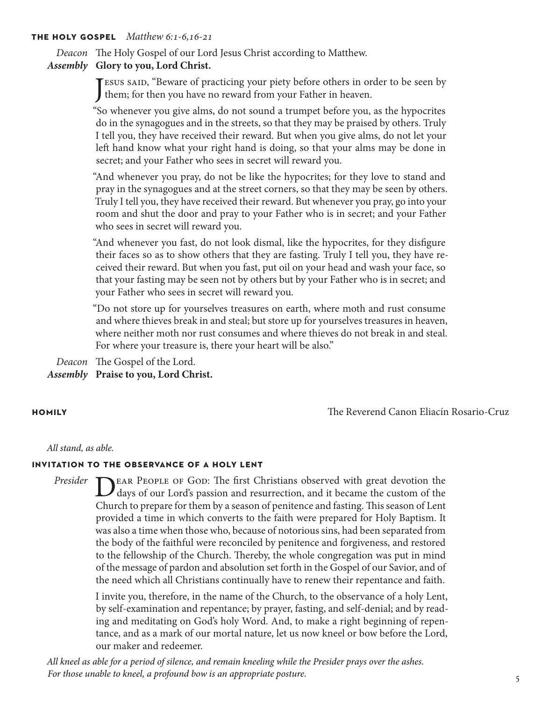#### **the holy gospel** *Matthew 6:1-6,16-21*

*Deacon* The Holy Gospel of our Lord Jesus Christ according to Matthew.

#### *Assembly* **Glory to you, Lord Christ.**

J them; for then you have no reward from your Father in heaven. **ESUS SAID, "Beware of practicing your piety before others in order to be seen by** 

"So whenever you give alms, do not sound a trumpet before you, as the hypocrites do in the synagogues and in the streets, so that they may be praised by others. Truly I tell you, they have received their reward. But when you give alms, do not let your left hand know what your right hand is doing, so that your alms may be done in secret; and your Father who sees in secret will reward you.

"And whenever you pray, do not be like the hypocrites; for they love to stand and pray in the synagogues and at the street corners, so that they may be seen by others. Truly I tell you, they have received their reward. But whenever you pray, go into your room and shut the door and pray to your Father who is in secret; and your Father who sees in secret will reward you.

"And whenever you fast, do not look dismal, like the hypocrites, for they disfigure their faces so as to show others that they are fasting. Truly I tell you, they have received their reward. But when you fast, put oil on your head and wash your face, so that your fasting may be seen not by others but by your Father who is in secret; and your Father who sees in secret will reward you.

"Do not store up for yourselves treasures on earth, where moth and rust consume and where thieves break in and steal; but store up for yourselves treasures in heaven, where neither moth nor rust consumes and where thieves do not break in and steal. For where your treasure is, there your heart will be also."

*Deacon* The Gospel of the Lord.

*Assembly* **Praise to you, Lord Christ.**

**homily** The Reverend Canon Eliacín Rosario-Cruz

*All stand, as able.*

#### **invitation to the observance of a holy lent**

LEAR PEOPLE OF GOD: The first Christians observed with great devotion the days of our Lord's passion and resurrection, and it became the custom of the Church to prepare for them by a season of penitence and fasting. This season of Lent provided a time in which converts to the faith were prepared for Holy Baptism. It was also a time when those who, because of notorious sins, had been separated from the body of the faithful were reconciled by penitence and forgiveness, and restored to the fellowship of the Church. Thereby, the whole congregation was put in mind of the message of pardon and absolution set forth in the Gospel of our Savior, and of the need which all Christians continually have to renew their repentance and faith. *Presider*

> I invite you, therefore, in the name of the Church, to the observance of a holy Lent, by self-examination and repentance; by prayer, fasting, and self-denial; and by reading and meditating on God's holy Word. And, to make a right beginning of repentance, and as a mark of our mortal nature, let us now kneel or bow before the Lord, our maker and redeemer.

*All kneel as able for a period of silence, and remain kneeling while the Presider prays over the ashes. For those unable to kneel, a profound bow is an appropriate posture.*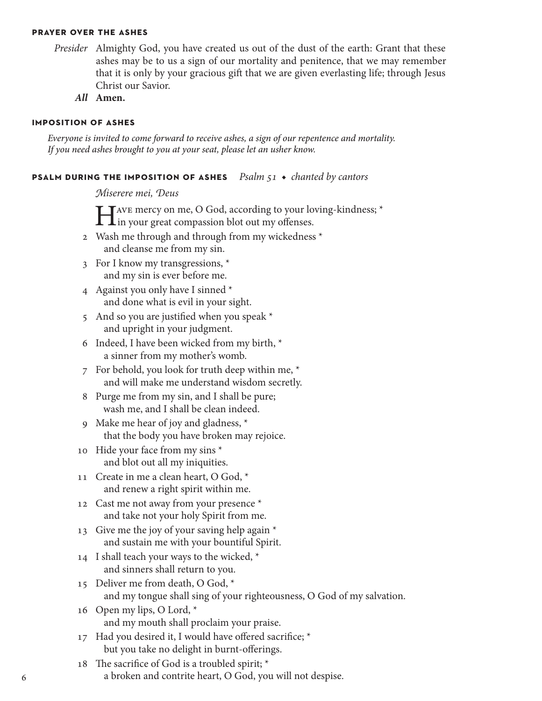#### **prayer over the ashes**

- *Presider* Almighty God, you have created us out of the dust of the earth: Grant that these ashes may be to us a sign of our mortality and penitence, that we may remember that it is only by your gracious gift that we are given everlasting life; through Jesus Christ our Savior.
	- *All* **Amen.**

#### **imposition of ashes**

*Everyone is invited to come forward to receive ashes, a sign of our repentence and mortality. If you need ashes brought to you at your seat, please let an usher know.*

#### **psalm during the imposition of ashes** *Psalm 51* ◆ *chanted by cantors*

#### *Miserere mei, Deus*

Have mercy on me, O God, according to your loving-kindness; \*<br>in your great compassion blot out my offenses.

- 2 Wash me through and through from my wickedness \* and cleanse me from my sin.
- 3 For I know my transgressions, \* and my sin is ever before me.
- 4 Against you only have I sinned \* and done what is evil in your sight.
- 5 And so you are justified when you speak \* and upright in your judgment.
- 6 Indeed, I have been wicked from my birth, \* a sinner from my mother's womb.
- 7 For behold, you look for truth deep within me, \* and will make me understand wisdom secretly.
- 8 Purge me from my sin, and I shall be pure; wash me, and I shall be clean indeed.
- 9 Make me hear of joy and gladness, \* that the body you have broken may rejoice.
- 10 Hide your face from my sins \* and blot out all my iniquities.
- 11 Create in me a clean heart, O God,  $*$ and renew a right spirit within me.
- 12 Cast me not away from your presence \* and take not your holy Spirit from me.
- 13 Give me the joy of your saving help again  $*$ and sustain me with your bountiful Spirit.
- 14 I shall teach your ways to the wicked,  $*$ and sinners shall return to you.
- 15 Deliver me from death, O God, \* and my tongue shall sing of your righteousness, O God of my salvation.
- 16 Open my lips, O Lord, \* and my mouth shall proclaim your praise.
- 17 Had you desired it, I would have offered sacrifice; \* but you take no delight in burnt-offerings.
- 18 The sacrifice of God is a troubled spirit; \* a broken and contrite heart, O God, you will not despise.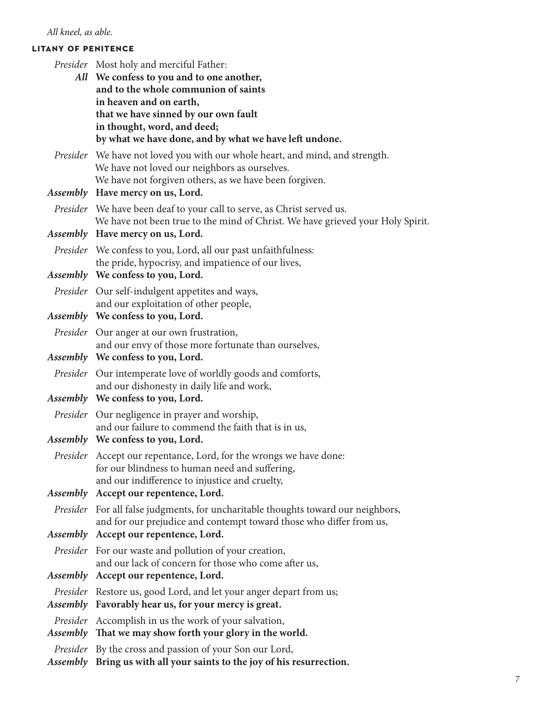#### **litany of penitence**

| Presider Most holy and merciful Father:                                                                                                                                                 |
|-----------------------------------------------------------------------------------------------------------------------------------------------------------------------------------------|
| All We confess to you and to one another,                                                                                                                                               |
| and to the whole communion of saints                                                                                                                                                    |
| in heaven and on earth,                                                                                                                                                                 |
| that we have sinned by our own fault                                                                                                                                                    |
| in thought, word, and deed;                                                                                                                                                             |
| by what we have done, and by what we have left undone.                                                                                                                                  |
| Presider We have not loved you with our whole heart, and mind, and strength.<br>We have not loved our neighbors as ourselves.<br>We have not forgiven others, as we have been forgiven. |
| Assembly Have mercy on us, Lord.                                                                                                                                                        |
| Presider We have been deaf to your call to serve, as Christ served us.<br>We have not been true to the mind of Christ. We have grieved your Holy Spirit.                                |
| Assembly Have mercy on us, Lord.                                                                                                                                                        |
| Presider We confess to you, Lord, all our past unfaithfulness:<br>the pride, hypocrisy, and impatience of our lives,                                                                    |
| Assembly We confess to you, Lord.                                                                                                                                                       |
| Presider Our self-indulgent appetites and ways,                                                                                                                                         |
| and our exploitation of other people,                                                                                                                                                   |
| Assembly We confess to you, Lord.                                                                                                                                                       |
| Presider Our anger at our own frustration,                                                                                                                                              |
| and our envy of those more fortunate than ourselves,                                                                                                                                    |
| Assembly We confess to you, Lord.                                                                                                                                                       |
| Presider Our intemperate love of worldly goods and comforts,<br>and our dishonesty in daily life and work,                                                                              |
| Assembly We confess to you, Lord.                                                                                                                                                       |
| <i>Presider</i> Our negligence in prayer and worship,                                                                                                                                   |
| and our failure to commend the faith that is in us,                                                                                                                                     |
| Assembly We confess to you, Lord.                                                                                                                                                       |
| Presider Accept our repentance, Lord, for the wrongs we have done:                                                                                                                      |
| for our blindness to human need and suffering,                                                                                                                                          |
| and our indifference to injustice and cruelty,                                                                                                                                          |
| Assembly Accept our repentence, Lord.                                                                                                                                                   |
| Presider For all false judgments, for uncharitable thoughts toward our neighbors,                                                                                                       |
| and for our prejudice and contempt toward those who differ from us,                                                                                                                     |
| Assembly Accept our repentence, Lord.                                                                                                                                                   |
| Presider For our waste and pollution of your creation,                                                                                                                                  |
| and our lack of concern for those who come after us,                                                                                                                                    |
| Assembly Accept our repentence, Lord.                                                                                                                                                   |
| Presider Restore us, good Lord, and let your anger depart from us;                                                                                                                      |
| Assembly Favorably hear us, for your mercy is great.                                                                                                                                    |
| Presider Accomplish in us the work of your salvation,                                                                                                                                   |
| Assembly That we may show forth your glory in the world.                                                                                                                                |
| Presider By the cross and passion of your Son our Lord,                                                                                                                                 |
| Assembly Bring us with all your saints to the joy of his resurrection.                                                                                                                  |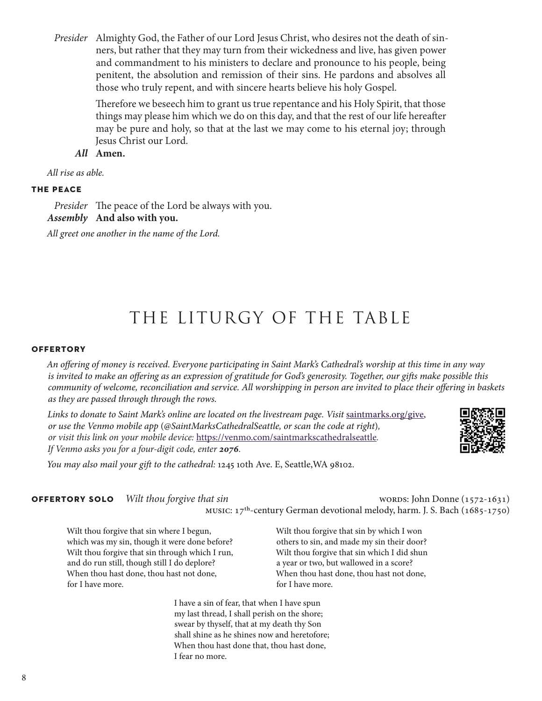*Presider* Almighty God, the Father of our Lord Jesus Christ, who desires not the death of sinners, but rather that they may turn from their wickedness and live, has given power and commandment to his ministers to declare and pronounce to his people, being penitent, the absolution and remission of their sins. He pardons and absolves all those who truly repent, and with sincere hearts believe his holy Gospel.

> Therefore we beseech him to grant us true repentance and his Holy Spirit, that those things may please him which we do on this day, and that the rest of our life hereafter may be pure and holy, so that at the last we may come to his eternal joy; through Jesus Christ our Lord.

*All* **Amen.**

*All rise as able.*

#### **the peace**

*Presider* The peace of the Lord be always with you. *Assembly* **And also with you.**

*All greet one another in the name of the Lord.*

### THE LITURGY OF THE TABLE

#### **offertory**

*An offering of money is received. Everyone participating in Saint Mark's Cathedral's worship at this time in any way is invited to make an offering as an expression of gratitude for God's generosity. Together, our gifts make possible this community of welcome, reconciliation and service. All worshipping in person are invited to place their offering in baskets as they are passed through through the rows.* 

Links to donate to Saint Mark's online are located on the livestream page. Visit saintmarks.org/give, *or use the Venmo mobile app* (*@SaintMarksCathedralSeattle, or scan the code at right*)*, or visit this link on your mobile device:* https://venmo.com/saintmarkscathedralseattle*. If Venmo asks you for a four-digit code, enter 2076.*



*You may also mail your gift to the cathedral:* 1245 10th Ave. E, Seattle,WA 98102.

| <b>OFFERTORY SOLO</b> Wilt thou forgive that sin |  |  | words: John Donne (1572-1631) |
|--------------------------------------------------|--|--|-------------------------------|
|                                                  |  |  |                               |

music: 17th-century German devotional melody, harm. J. S. Bach (1685-1750)

Wilt thou forgive that sin where I begun, which was my sin, though it were done before? Wilt thou forgive that sin through which I run, and do run still, though still I do deplore? When thou hast done, thou hast not done, for I have more.

Wilt thou forgive that sin by which I won others to sin, and made my sin their door? Wilt thou forgive that sin which I did shun a year or two, but wallowed in a score? When thou hast done, thou hast not done, for I have more.

I have a sin of fear, that when I have spun my last thread, I shall perish on the shore; swear by thyself, that at my death thy Son shall shine as he shines now and heretofore; When thou hast done that, thou hast done, I fear no more.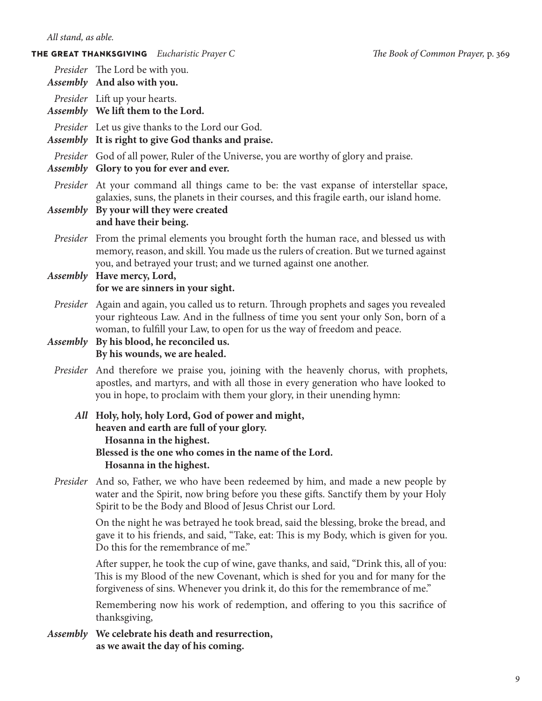*All stand, as able.* 

**the great thanksgiving** *Eucharistic Prayer C The Book of Common Prayer,* p. 369

### *Presider* The Lord be with you. *Assembly* **And also with you.** *Presider* Lift up your hearts. *Assembly* **We lift them to the Lord.** *Presider* Let us give thanks to the Lord our God. *Assembly* **It is right to give God thanks and praise.**  *Presider* God of all power, Ruler of the Universe, you are worthy of glory and praise. *Assembly* **Glory to you for ever and ever.** *Presider* At your command all things came to be: the vast expanse of interstellar space, galaxies, suns, the planets in their courses, and this fragile earth, our island home. *Assembly* **By your will they were created and have their being.** *Presider* From the primal elements you brought forth the human race, and blessed us with memory, reason, and skill. You made us the rulers of creation. But we turned against you, and betrayed your trust; and we turned against one another. *Assembly* **Have mercy, Lord, for we are sinners in your sight.** *Presider* Again and again, you called us to return. Through prophets and sages you revealed your righteous Law. And in the fullness of time you sent your only Son, born of a woman, to fulfill your Law, to open for us the way of freedom and peace. *Assembly* **By his blood, he reconciled us. By his wounds, we are healed.** *Presider* And therefore we praise you, joining with the heavenly chorus, with prophets, apostles, and martyrs, and with all those in every generation who have looked to you in hope, to proclaim with them your glory, in their unending hymn: *All* **Holy, holy, holy Lord, God of power and might, heaven and earth are full of your glory. Hosanna in the highest. Blessed is the one who comes in the name of the Lord. Hosanna in the highest.** *Presider* And so, Father, we who have been redeemed by him, and made a new people by water and the Spirit, now bring before you these gifts. Sanctify them by your Holy Spirit to be the Body and Blood of Jesus Christ our Lord. On the night he was betrayed he took bread, said the blessing, broke the bread, and gave it to his friends, and said, "Take, eat: This is my Body, which is given for you. Do this for the remembrance of me." After supper, he took the cup of wine, gave thanks, and said, "Drink this, all of you: This is my Blood of the new Covenant, which is shed for you and for many for the forgiveness of sins. Whenever you drink it, do this for the remembrance of me." Remembering now his work of redemption, and offering to you this sacrifice of thanksgiving, *Assembly* **We celebrate his death and resurrection, as we await the day of his coming.**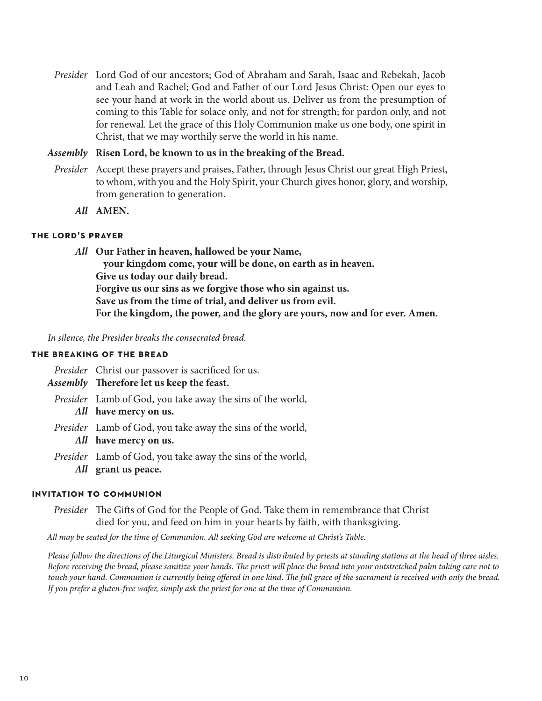*Presider* Lord God of our ancestors; God of Abraham and Sarah, Isaac and Rebekah, Jacob and Leah and Rachel; God and Father of our Lord Jesus Christ: Open our eyes to see your hand at work in the world about us. Deliver us from the presumption of coming to this Table for solace only, and not for strength; for pardon only, and not for renewal. Let the grace of this Holy Communion make us one body, one spirit in Christ, that we may worthily serve the world in his name.

*Assembly* **Risen Lord, be known to us in the breaking of the Bread.**

- *Presider* Accept these prayers and praises, Father, through Jesus Christ our great High Priest, to whom, with you and the Holy Spirit, your Church gives honor, glory, and worship, from generation to generation.
	- *All* **AMEN.**

#### **the lord's prayer**

*All* **Our Father in heaven, hallowed be your Name, your kingdom come, your will be done, on earth as in heaven. Give us today our daily bread. Forgive us our sins as we forgive those who sin against us. Save us from the time of trial, and deliver us from evil. For the kingdom, the power, and the glory are yours, now and for ever. Amen.**

*In silence, the Presider breaks the consecrated bread.*

#### **the breaking of the bread**

*Presider* Christ our passover is sacrificed for us.

- *Assembly* **Therefore let us keep the feast.**
	- *Presider* Lamb of God, you take away the sins of the world,
		- *All* **have mercy on us.**
	- *Presider* Lamb of God, you take away the sins of the world,
		- *All* **have mercy on us.**
	- *Presider* Lamb of God, you take away the sins of the world,
		- *All* **grant us peace.**

#### **invitation to communion**

*Presider* The Gifts of God for the People of God. Take them in remembrance that Christ died for you, and feed on him in your hearts by faith, with thanksgiving.

*All may be seated for the time of Communion. All seeking God are welcome at Christ's Table.* 

*Please follow the directions of the Liturgical Ministers. Bread is distributed by priests at standing stations at the head of three aisles. Before receiving the bread, please sanitize your hands. The priest will place the bread into your outstretched palm taking care not to touch your hand. Communion is currently being offered in one kind. The full grace of the sacrament is received with only the bread. If you prefer a gluten-free wafer, simply ask the priest for one at the time of Communion.*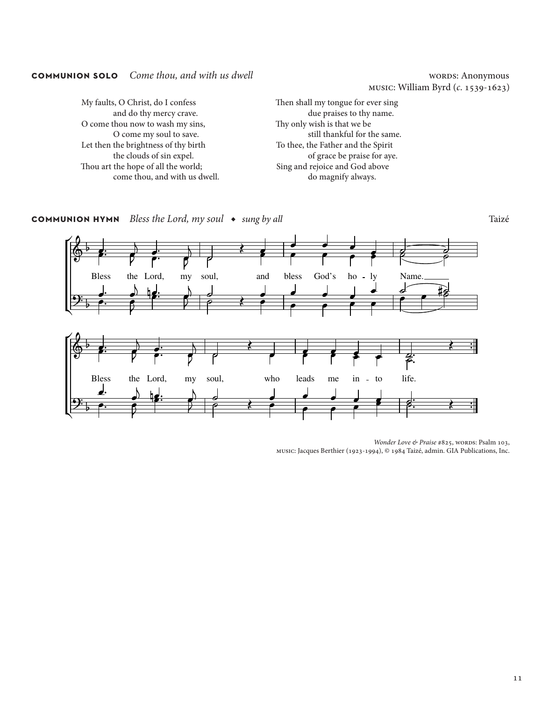#### **COMMUNION SOLO** *Come thou, and with us dwell* **comparished and** *a words: Anonymous words: Anonymous*

music: William Byrd (*c*. 1539-1623)

My faults, O Christ, do I confess and do thy mercy crave. O come thou now to wash my sins, O come my soul to save. Let then the brightness of thy birth the clouds of sin expel. Thou art the hope of all the world; come thou, and with us dwell. Then shall my tongue for ever sing due praises to thy name. Thy only wish is that we be still thankful for the same. To thee, the Father and the Spirit of grace be praise for aye. Sing and rejoice and God above do magnify always.

**COMMUNION HYMN** Bless the Lord, my soul ◆ *sung by all* Taizé



*Wonder Love & Praise* #825, WORDS: Psalm 103, music: Jacques Berthier (1923-1994), © 1984 Taizé, admin. GIA Publications, Inc.